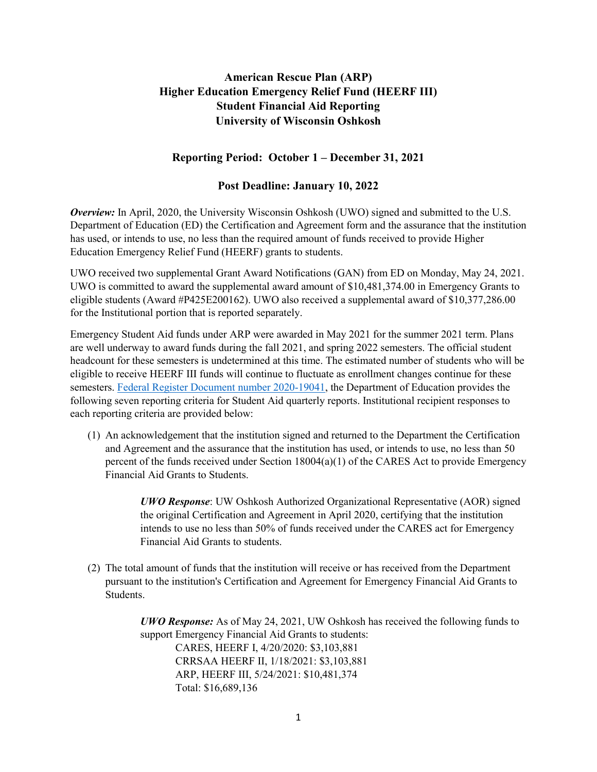## **American Rescue Plan (ARP) Higher Education Emergency Relief Fund (HEERF III) Student Financial Aid Reporting University of Wisconsin Oshkosh**

## **Reporting Period: October 1 – December 31, 2021**

## **Post Deadline: January 10, 2022**

*Overview:* In April, 2020, the University Wisconsin Oshkosh (UWO) signed and submitted to the U.S. Department of Education (ED) the Certification and Agreement form and the assurance that the institution has used, or intends to use, no less than the required amount of funds received to provide Higher Education Emergency Relief Fund (HEERF) grants to students.

UWO received two supplemental Grant Award Notifications (GAN) from ED on Monday, May 24, 2021. UWO is committed to award the supplemental award amount of \$10,481,374.00 in Emergency Grants to eligible students (Award #P425E200162). UWO also received a supplemental award of \$10,377,286.00 for the Institutional portion that is reported separately.

Emergency Student Aid funds under ARP were awarded in May 2021 for the summer 2021 term. Plans are well underway to award funds during the fall 2021, and spring 2022 semesters. The official student headcount for these semesters is undetermined at this time. The estimated number of students who will be eligible to receive HEERF III funds will continue to fluctuate as enrollment changes continue for these semesters. [Federal Register Document number 2020-19041,](https://www.federalregister.gov/documents/2020/08/31/2020-19041/notice-of-public-posting-requirement-of-grant-information-for-higher-education-emergency-relief-fund) the Department of Education provides the following seven reporting criteria for Student Aid quarterly reports. Institutional recipient responses to each reporting criteria are provided below:

(1) An acknowledgement that the institution signed and returned to the Department the Certification and Agreement and the assurance that the institution has used, or intends to use, no less than 50 percent of the funds received under Section 18004(a)(1) of the CARES Act to provide Emergency Financial Aid Grants to Students.

> *UWO Response*: UW Oshkosh Authorized Organizational Representative (AOR) signed the original Certification and Agreement in April 2020, certifying that the institution intends to use no less than 50% of funds received under the CARES act for Emergency Financial Aid Grants to students.

(2) The total amount of funds that the institution will receive or has received from the Department pursuant to the institution's Certification and Agreement for Emergency Financial Aid Grants to Students.

> *UWO Response:* As of May 24, 2021, UW Oshkosh has received the following funds to support Emergency Financial Aid Grants to students: CARES, HEERF I, 4/20/2020: \$3,103,881 CRRSAA HEERF II, 1/18/2021: \$3,103,881 ARP, HEERF III, 5/24/2021: \$10,481,374 Total: \$16,689,136